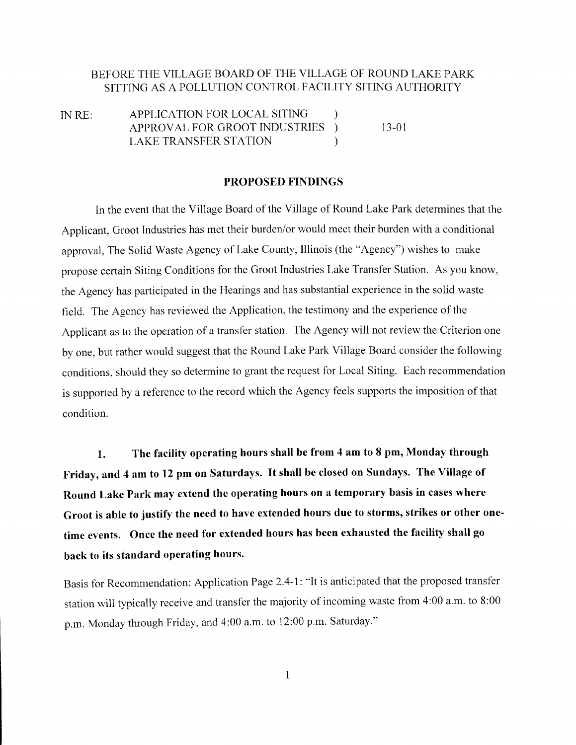#### BEFORE THE VILLAGE BOARD OF THE VILLAGE OF ROUND LAKE PARK SITTING AS A POLLUTION CONTROL FACILITY SITING AUTHORITY

| IN RE: | APPLICATION FOR LOCAL SITING    |       |
|--------|---------------------------------|-------|
|        | APPROVAL FOR GROOT INDUSTRIES ) | 13-01 |
|        | LAKE TRANSFER STATION           |       |

#### **PROPOSED FINDINGS**

In the event that the Village Board of the Village of Round Lake Park determines that the Applicant, Groot Industries has met their burden/or would meet their burden with a conditional approval, The Solid Waste Agency of Lake County, Illinois (the "Agency") wishes to make propose certain Siting Conditions for the Groot Industries Lake Transfer Station. As you know, the Agency has participated in the Hearings and has substantial experience in the solid waste field. The Agency has reviewed the Application, the testimony and the experience of the Applicant as to the operation of a transfer station. The Agency will not review the Criterion one by one, but rather would suggest that the Round Lake Park Village Board consider the following conditions, should they so determine to grant the request for Local Siting. Each recommendation is supported by a reference to the record which the Agency feels supports the imposition of that condition.

**1. The facility operating hours shall be from 4 am to 8 pm, Monday through Friday, and 4 am to 12 pm on Saturdays. It shall be closed on Sundays. The Village of Round Lake Park may extend the operating hours on a temporary basis in cases where Groot is able to justify the need to have extended hours due to storms, strikes or other onetime events. Once the need for extended hours has been exhausted the facility shall go back to its standard operating hours.**

Basis for Recommendation: Application Page 2.4-1: "It is anticipated that the proposed transfer station will typically receive and transfer the majority of incoming waste from 4:00 a.m. to 8:00 p.m. Monday through Friday, and 4:00 a.m. to 12:00 p.m. Saturday."

 $\mathbf{1}$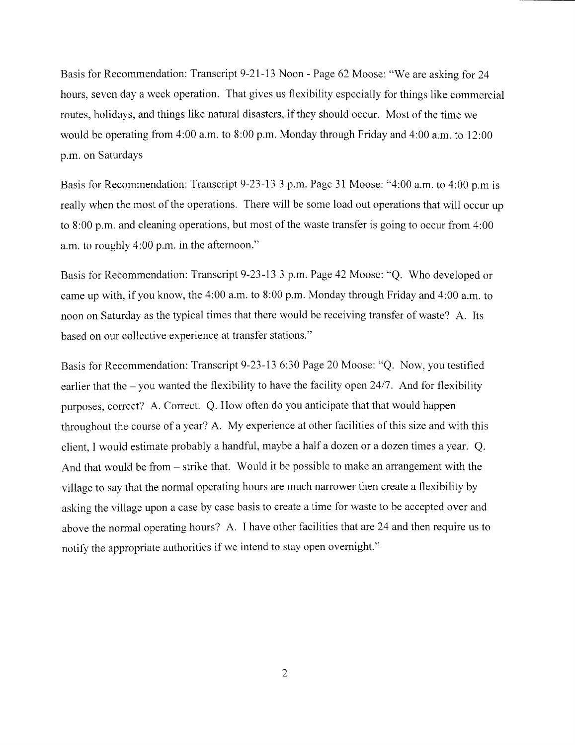Basis for Recommendation: Transcript 9-21-13 Noon - Page 62 Moose: "We are asking for 24 hours, seven day a week operation. That gives us flexibility especially for things like commercial routes, holidays, and things like natural disasters, if they should occur. Most of the time we would be operating from 4:00 a.m. to 8:00 p.m. Monday through Friday and 4:00 a.m. to 12:00 p.m. on Saturdays

Basis for Recommendation: Transcript 9-23-13 3 p.m. Page 31 Moose: "4:00 a.m. to 4:00 p.m is really when the most of the operations. There will be some load out operations that will occur up to 8:00 p.m. and cleaning operations, but most of the waste transfer is going to occur from 4:00 a.m. to roughly 4:00 p.m. in the afternoon."

Basis for Recommendation: Transcript 9-23-13 3 p.m. Page 42 Moose: "Q. Who developed or came up with, if you know, the 4:00 a.m. to 8:00 p.m. Monday through Friday and 4:00 a.m. to noon on Saturday as the typical times that there would be receiving transfer of waste? A. Its based on our collective experience at transfer stations."

Basis for Recommendation: Transcript 9-23-13 6:30 Page 20 Moose: "Q. Now, you testified earlier that the  $-$  you wanted the flexibility to have the facility open 24/7. And for flexibility purposes, correct? A. Correct. Q. How often do you anticipate that that would happen throughout the course of a year? A. My experience at other facilities of this size and with this client, I would estimate probably a handful, maybe a half a dozen or a dozen times a year. Q. And that would be from – strike that. Would it be possible to make an arrangement with the village to say that the normal operating hours are much narrower then create a flexibility by asking the village upon a case by case basis to create a time for waste to be accepted over and above the normal operating hours? A. I have other facilities that are 24 and then require us to notify the appropriate authorities if we intend to stay open overnight."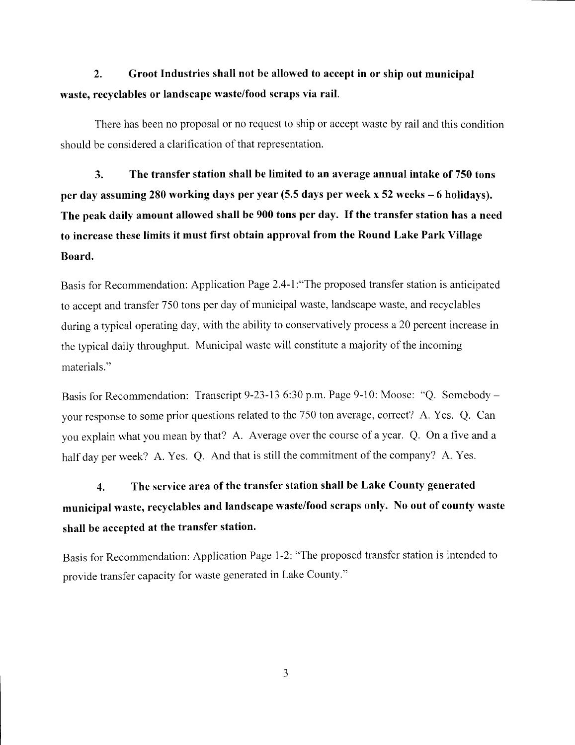#### **2. Groot Industries shall not be allowed to accept in or ship out municipal waste, recyclables or landscape waste/food scraps via rail.**

There has been no proposal or no request to ship or accept waste by rail and this condition should be considered a clarification of that representation.

**3. The transfer station shall be limited to an average annual intake of 750 tons per day assuming 280 working days per year (5.5 days per week x 52 weeks - 6 holidays). The peak daily amount allowed shall be 900 tons per day. If the transfer station has a need to increase these limits it must first obtain approval from the Round Lake Park Village Board.**

Basis for Recommendation: Application Page 2.4-l:"The proposed transfer station is anticipated to accept and transfer 750 tons per day of municipal waste, landscape waste, and recyclables during a typical operating day, with the ability to conservatively process a 20 percent increase in the typical daily throughput. Municipal waste will constitute a majority of the incoming materials."

Basis for Recommendation: Transcript 9-23-13 6:30 p.m. Page 9-10: Moose: "Q. Somebody your response to some prior questions related to the 750 ton average, correct? A. Yes. Q. Can you explain what you mean by that? A. Average over the course of a year. Q. On a five and a half day per week? A. Yes. Q. And that is still the commitment of the company? A. Yes.

# **4. The service area of the transfer station shall be Lake County generated municipal waste, recyclables and landscape waste/food scraps only. No out of county waste shall be accepted at the transfer station.**

Basis for Recommendation: Application Page 1-2: "The proposed transfer station is intended to provide transfer capacity for waste generated in Lake County."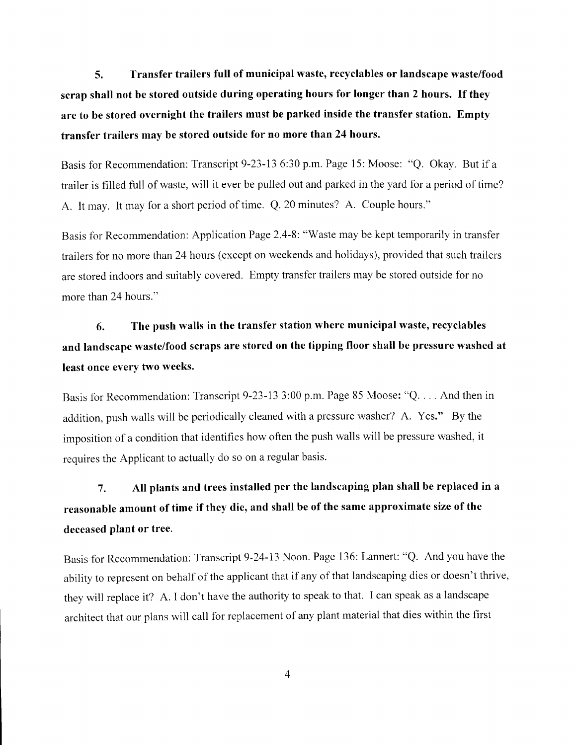**5. Transfer trailers full of municipal waste, recyclables or landscape waste/food scrap shall not be stored outside during operating hours for longer than 2 hours. If they are to be stored overnight the trailers must be parked inside the transfer station. Empty transfer trailers may be stored outside for no more than 24 hours.**

Basis for Recommendation: Transcript 9-23-13 6:30 p.m. Page 15: Moose: "Q. Okay. But if a trailer is filled full of waste, will it ever be pulled out and parked in the yard for a period of time? A. It may. It may for a short period of time. Q. 20 minutes? A. Couple hours."

Basis for Recommendation: Application Page 2.4-8: "Waste may be kept temporarily in transfer trailers for no more than 24 hours (except on weekends and holidays), provided that such trailers are stored indoors and suitably covered. Empty transfer trailers may be stored outside for no more than 24 hours."

# **6. The push walls in the transfer station where municipal waste, recyclables and landscape waste/food scraps are stored on the tipping floor shall be pressure washed at least once every two weeks.**

Basis for Recommendation: Transcript 9-23-13 3:00 p.m. Page 85 Moose: "Q. . . . And then in addition, push walls will be periodically cleaned with a pressure washer? A. Yes." By the imposition of a condition that identifies how often the push walls will be pressure washed, it requires the Applicant to actually do so on a regular basis.

# **7. All plants and trees installed per the landscaping plan shall be replaced in a reasonable amount of time if they die, and shall be of the same approximate size of the deceased plant or tree.**

Basis for Recommendation: Transcript 9-24-13 Noon. Page 136: Lannert: "Q. And you have the ability to represent on behalf of the applicant that if any of that landscaping dies or doesn't thrive, they will replace it? A. I don't have the authority to speak to that. I can speak as a landscape architect that our plans will call for replacement of any plant material that dies within the first

 $\overline{4}$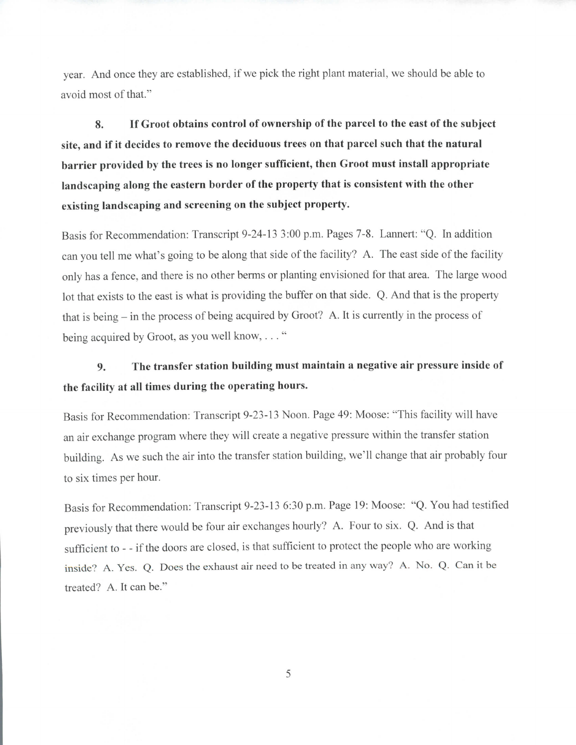year. And once they are established, if we pick the right plant material, we should be able to avoid most of that."

**8. If Groot obtains control of ownership of the parcel to the east of the subject site, and if it decides to remove the deciduous trees on that parcel such that the natural barrier provided by the trees is no longer sufficient, then Groot must install appropriate landscaping along the eastern border of the property that is consistent with the other existing landscaping and screening on the subject property.**

Basis for Recommendation: Transcript 9-24-13 3:00 p.m. Pages 7-8. Lannert: "Q. In addition can you tell me what's going to be along that side of the facility? A. The east side of the facility only has a fence, and there is no other berms or planting envisioned for that area. The large wood lot that exists to the east is what is providing the buffer on that side. Q. And that is the property that is being - in the process of being acquired by Groot? A. It is currently in the process of being acquired by Groot, as you well know, ... "

## **9. The transfer station building must maintain a negative air pressure inside of the facility at all times during the operating hours.**

Basis for Recommendation: Transcript 9-23-13 Noon. Page 49: Moose: "This facility will have an air exchange program where they will create a negative pressure within the transfer station building. As we such the air into the transfer station building, we'll change that air probably four to six times per hour.

Basis for Recommendation: Transcript 9-23-13 6:30 p.m. Page 19: Moose: "Q. You had testified previously that there would be four air exchanges hourly? A. Four to six. Q. And is that sufficient to - - if the doors are closed, is that sufficient to protect the people who are working inside? A. Yes. Q. Does the exhaust air need to be treated in any way? A. No. Q. Can it be treated? A. It can be."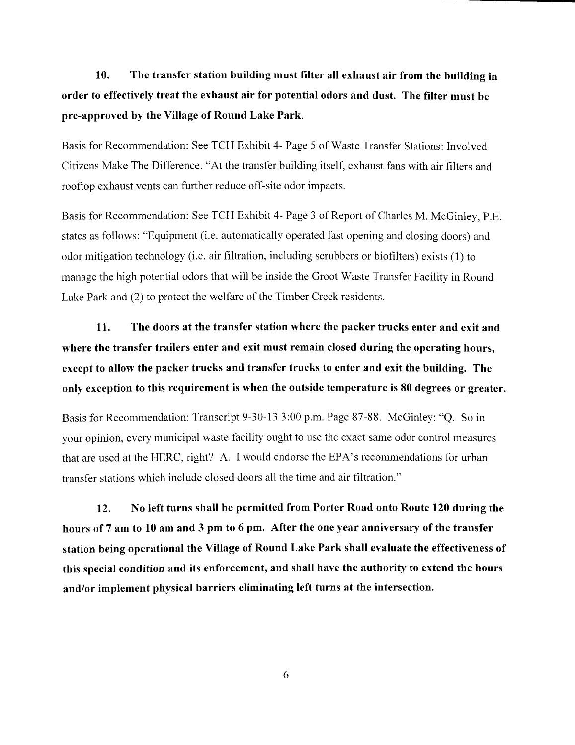## **10. The transfer station building must filter all exhaust air from the building in order to effectively treat the exhaust air for potential odors and dust. The filter must be pre-approved by the Village of Round Lake Park.**

Basis for Recommendation: See TCH Exhibit 4- Page 5 of Waste Transfer Stations: Involved Citizens Make The Difference. "At the transfer building itself, exhaust fans with air filters and rooftop exhaust vents can further reduce off-site odor impacts.

Basis for Recommendation: See TCH Exhibit 4- Page 3 of Report of Charles M. McGinley, P.E. states as follows: "Equipment (i.e. automatically operated fast opening and closing doors) and odor mitigation technology (i.e. air filtration, including scrubbers or biofilters) exists (1) to manage the high potential odors that will be inside the Groot Waste Transfer Facility in Round Lake Park and (2) to protect the welfare of the Timber Creek residents.

**11. The doors at the transfer station where the packer trucks enter and exit and where the transfer trailers enter and exit must remain closed during the operating hours, except to allow the packer trucks and transfer trucks to enter and exit the building. The only exception to this requirement is when the outside temperature is 80 degrees or greater.**

Basis for Recommendation: Transcript 9-30-13 3:00 p.m. Page 87-88. McGinley: "Q. So in your opinion, every municipal waste facility ought to use the exact same odor control measures that are used at the HERC, right? A. I would endorse the EPA's recommendations for urban transfer stations which include closed doors all the time and air filtration."

**12. No left turns shall be permitted from Porter Road onto Route 120 during the hours of 7 am to 10 am and 3 pm to 6 pm. After the one year anniversary of the transfer station being operational the Village of Round Lake Park shall evaluate the effectiveness of this special condition and its enforcement, and shall have the authority to extend the hours and/or implement physical barriers eliminating left turns at the intersection.**

6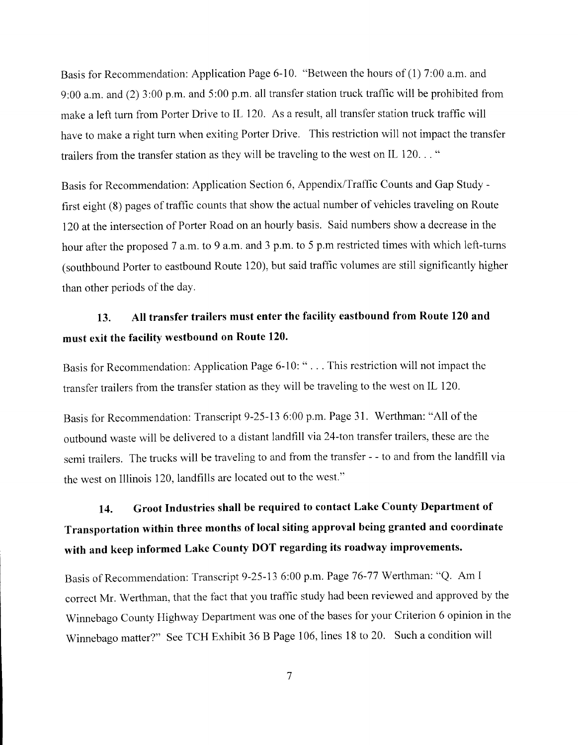Basis for Recommendation: Application Page 6-10. "Between the hours of (1) 7:00 a.m. and 9:00 a.m. and (2) 3:00 p.m. and 5:00 p.m. all transfer station truck traffic will be prohibited from make a left turn from Porter Drive to IL 120. As a result, all transfer station truck traffic will have to make a right turn when exiting Porter Drive. This restriction will not impact the transfer trailers from the transfer station as they will be traveling to the west on IL 120. .. "

Basis for Recommendation: Application Section 6, Appendix/Traffic Counts and Gap Study first eight (8) pages of traffic counts that show the actual number of vehicles traveling on Route 120 at the intersection of Porter Road on an hourly basis. Said numbers show a decrease in the hour after the proposed 7 a.m. to 9 a.m. and 3 p.m. to 5 p.m restricted times with which left-turns (southbound Porter to eastbound Route 120), but said traffic volumes are still significantly higher than other periods of the day.

## **13. All transfer trailers must enter the facility eastbound from Route 120 and must exit the facility westbound on Route 120.**

Basis for Recommendation: Application Page 6-10: ".. . This restriction will not impact the transfer trailers from the transfer station as they will be traveling to the west on IL 120.

Basis for Recommendation: Transcript 9-25-13 6:00 p.m. Page 31. Werthman: "All of the outbound waste will be delivered to a distant landfill via 24-ton transfer trailers, these are the semi trailers. The trucks will be traveling to and from the transfer - - to and from the landfill via the west on Illinois 120, landfills are located out to the west."

# **14. Groot Industries shall be required to contact Lake County Department of Transportation within three months of local siting approval being granted and coordinate with and keep informed Lake County DOT regarding its roadway improvements.**

Basis of Recommendation: Transcript 9-25-13 6:00 p.m. Page 76-77 Werthman: "Q. Am I correct Mr. Werthman, that the fact that you traffic study had been reviewed and approved by the Winnebago County Highway Department was one of the bases for your Criterion 6 opinion in the Winnebago matter?" See TCH Exhibit 36 B Page 106, lines 18 to 20. Such a condition will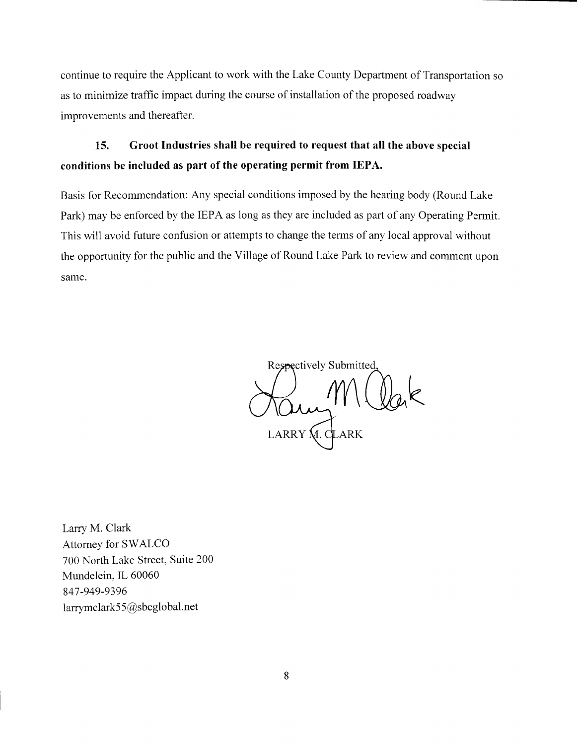continue to require the Applicant to work with the Lake County Department of Transportation so as to minimize traffic impact during the course of installation of the proposed roadway improvements and thereafter.

### **15. Groot Industries shall be required to request that all the above special conditions be included as part of the operating permit from IEPA.**

Basis for Recommendation: Any special conditions imposed by the hearing body (Round Lake Park) may be enforced by the IEPA as long as they are included as part of any Operating Permit. This will avoid future confusion or attempts to change the terms of any local approval without the opportunity for the public and the Village of Round Lake Park to review and comment upon same.

Respectively Submitted LARRY M. CLARK

Larry M. Clark Attorney for SWALCO 700 North Lake Street, Suite 200 Mundelein, IL 60060 847-949-9396 Iarrymclark55@sbcglobal.net